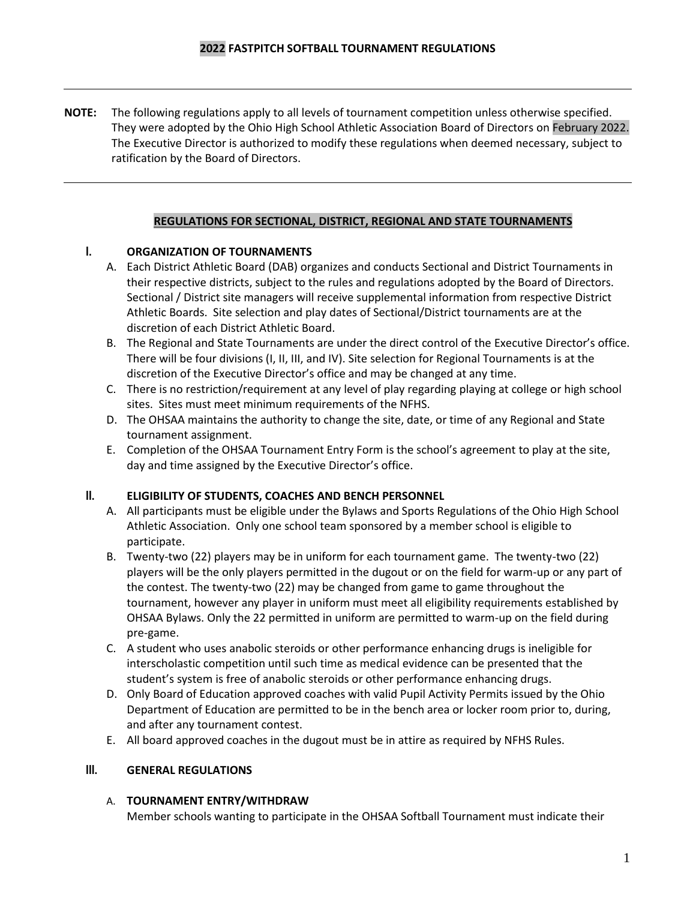**NOTE:** The following regulations apply to all levels of tournament competition unless otherwise specified. They were adopted by the Ohio High School Athletic Association Board of Directors on February 2022. The Executive Director is authorized to modify these regulations when deemed necessary, subject to ratification by the Board of Directors.

## **REGULATIONS FOR SECTIONAL, DISTRICT, REGIONAL AND STATE TOURNAMENTS**

## **I. ORGANIZATION OF TOURNAMENTS**

- A. Each District Athletic Board (DAB) organizes and conducts Sectional and District Tournaments in their respective districts, subject to the rules and regulations adopted by the Board of Directors. Sectional / District site managers will receive supplemental information from respective District Athletic Boards. Site selection and play dates of Sectional/District tournaments are at the discretion of each District Athletic Board.
- B. The Regional and State Tournaments are under the direct control of the Executive Director's office. There will be four divisions (I, II, III, and IV). Site selection for Regional Tournaments is at the discretion of the Executive Director's office and may be changed at any time.
- C. There is no restriction/requirement at any level of play regarding playing at college or high school sites. Sites must meet minimum requirements of the NFHS.
- D. The OHSAA maintains the authority to change the site, date, or time of any Regional and State tournament assignment.
- E. Completion of the OHSAA Tournament Entry Form is the school's agreement to play at the site, day and time assigned by the Executive Director's office.

#### **II. ELIGIBILITY OF STUDENTS, COACHES AND BENCH PERSONNEL**

- A. All participants must be eligible under the Bylaws and Sports Regulations of the Ohio High School Athletic Association. Only one school team sponsored by a member school is eligible to participate.
- B. Twenty-two (22) players may be in uniform for each tournament game. The twenty-two (22) players will be the only players permitted in the dugout or on the field for warm-up or any part of the contest. The twenty-two (22) may be changed from game to game throughout the tournament, however any player in uniform must meet all eligibility requirements established by OHSAA Bylaws. Only the 22 permitted in uniform are permitted to warm-up on the field during pre-game.
- C. A student who uses anabolic steroids or other performance enhancing drugs is ineligible for interscholastic competition until such time as medical evidence can be presented that the student's system is free of anabolic steroids or other performance enhancing drugs.
- D. Only Board of Education approved coaches with valid Pupil Activity Permits issued by the Ohio Department of Education are permitted to be in the bench area or locker room prior to, during, and after any tournament contest.
- E. All board approved coaches in the dugout must be in attire as required by NFHS Rules.

#### **III. GENERAL REGULATIONS**

#### A. **TOURNAMENT ENTRY/WITHDRAW**

Member schools wanting to participate in the OHSAA Softball Tournament must indicate their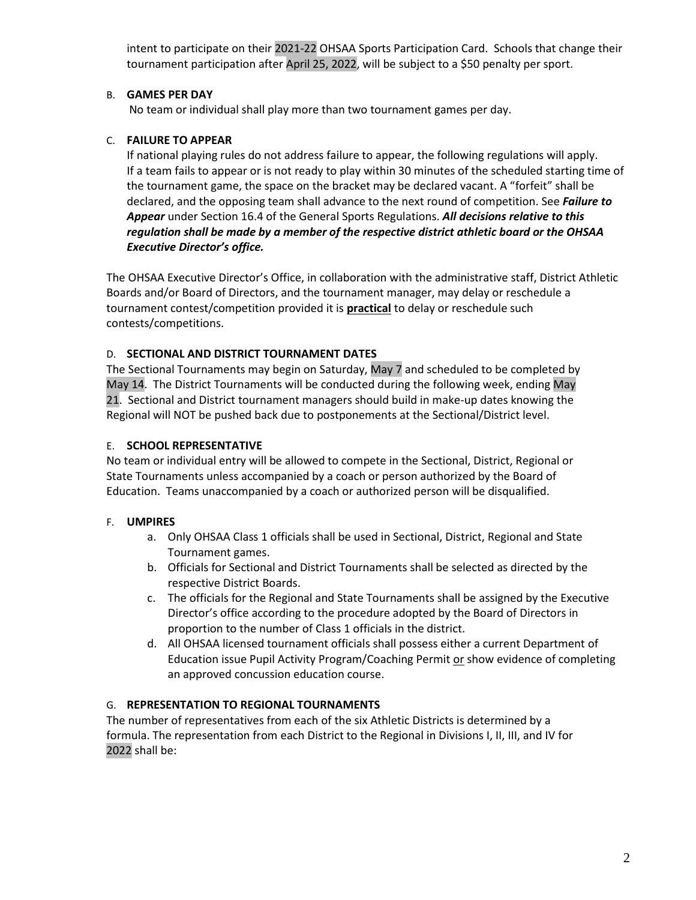intent to participate on their 2021-22 OHSAA Sports Participation Card. Schools that change their tournament participation after April 25, 2022, will be subject to a \$50 penalty per sport.

## B. **GAMES PER DAY**

No team or individual shall play more than two tournament games per day.

## C. **FAILURE TO APPEAR**

If national playing rules do not address failure to appear, the following regulations will apply. If a team fails to appear or is not ready to play within 30 minutes of the scheduled starting time of the tournament game, the space on the bracket may be declared vacant. A "forfeit" shall be declared, and the opposing team shall advance to the next round of competition. See *Failure to Appear* under Section 16.4 of the General Sports Regulations. *All decisions relative to this regulation shall be made by a member of the respective district athletic board or the OHSAA Executive Director's office.*

The OHSAA Executive Director's Office, in collaboration with the administrative staff, District Athletic Boards and/or Board of Directors, and the tournament manager, may delay or reschedule a tournament contest/competition provided it is **practical** to delay or reschedule such contests/competitions.

### D. **SECTIONAL AND DISTRICT TOURNAMENT DATES**

The Sectional Tournaments may begin on Saturday, May 7 and scheduled to be completed by May 14. The District Tournaments will be conducted during the following week, ending May 21. Sectional and District tournament managers should build in make-up dates knowing the Regional will NOT be pushed back due to postponements at the Sectional/District level.

### E. **SCHOOL REPRESENTATIVE**

No team or individual entry will be allowed to compete in the Sectional, District, Regional or State Tournaments unless accompanied by a coach or person authorized by the Board of Education. Teams unaccompanied by a coach or authorized person will be disqualified.

## F. **UMPIRES**

- a. Only OHSAA Class 1 officials shall be used in Sectional, District, Regional and State Tournament games.
- b. Officials for Sectional and District Tournaments shall be selected as directed by the respective District Boards.
- c. The officials for the Regional and State Tournaments shall be assigned by the Executive Director's office according to the procedure adopted by the Board of Directors in proportion to the number of Class 1 officials in the district.
- d. All OHSAA licensed tournament officials shall possess either a current Department of Education issue Pupil Activity Program/Coaching Permit or show evidence of completing an approved concussion education course.

#### G. **REPRESENTATION TO REGIONAL TOURNAMENTS**

The number of representatives from each of the six Athletic Districts is determined by a formula. The representation from each District to the Regional in Divisions I, II, III, and IV for 2022 shall be: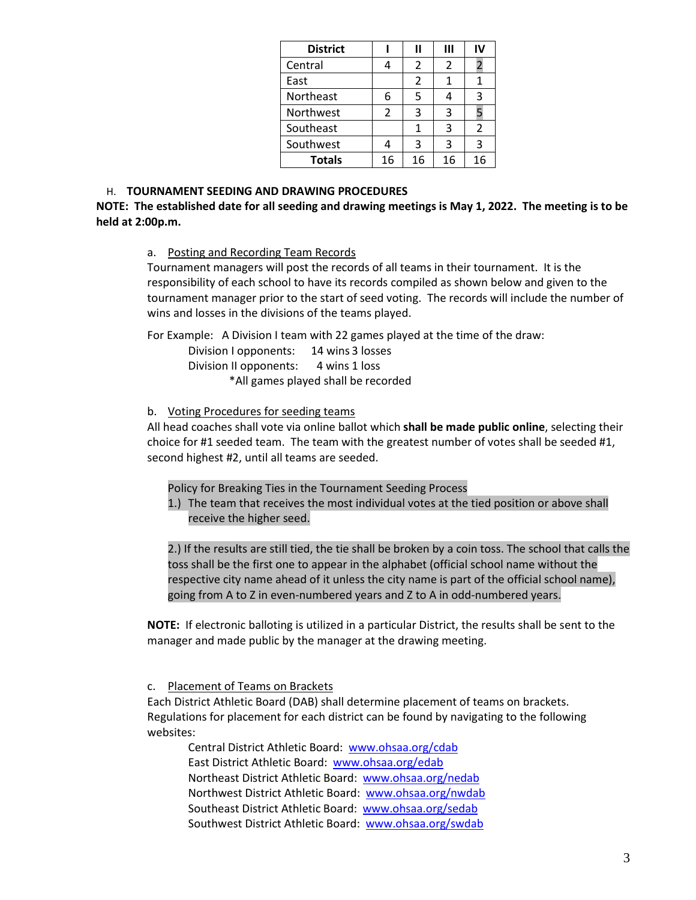| <b>District</b> |    | п  | Ш  |                |
|-----------------|----|----|----|----------------|
| Central         |    | 2  | 2  |                |
| East            |    | 2  |    |                |
| Northeast       | 6  | 5  |    | 3              |
| Northwest       | 2  | 3  | 3  |                |
| Southeast       |    | 1  | 3  | $\mathfrak{p}$ |
| Southwest       |    | 3  | 3  | 3              |
| <b>Totals</b>   | 16 | 16 | 16 | 16             |

#### H. **TOURNAMENT SEEDING AND DRAWING PROCEDURES**

**NOTE: The established date for all seeding and drawing meetings is May 1, 2022. The meeting is to be held at 2:00p.m.**

a. Posting and Recording Team Records

Tournament managers will post the records of all teams in their tournament. It is the responsibility of each school to have its records compiled as shown below and given to the tournament manager prior to the start of seed voting. The records will include the number of wins and losses in the divisions of the teams played.

For Example: A Division I team with 22 games played at the time of the draw:

Division I opponents: 14 wins 3 losses Division II opponents: 4 wins 1 loss \*All games played shall be recorded

#### b. Voting Procedures for seeding teams

All head coaches shall vote via online ballot which **shall be made public online**, selecting their choice for #1 seeded team. The team with the greatest number of votes shall be seeded #1, second highest #2, until all teams are seeded.

- Policy for Breaking Ties in the Tournament Seeding Process
- 1.) The team that receives the most individual votes at the tied position or above shall receive the higher seed.

2.) If the results are still tied, the tie shall be broken by a coin toss. The school that calls the toss shall be the first one to appear in the alphabet (official school name without the respective city name ahead of it unless the city name is part of the official school name), going from A to Z in even-numbered years and Z to A in odd-numbered years.

**NOTE:** If electronic balloting is utilized in a particular District, the results shall be sent to the manager and made public by the manager at the drawing meeting.

c. Placement of Teams on Brackets

Each District Athletic Board (DAB) shall determine placement of teams on brackets. Regulations for placement for each district can be found by navigating to the following websites:

Central District Athletic Board: [www.ohsaa.org/cdab](http://www.ohsaa.org/cdab) East District Athletic Board: [www.ohsaa.org/edab](http://www.ohsaa.org/edab) Northeast District Athletic Board: [www.ohsaa.org/nedab](http://www.ohsaa.org/nedab) Northwest District Athletic Board: [www.ohsaa.org/nwdab](http://www.ohsaa.org/nwdab) Southeast District Athletic Board: [www.ohsaa.org/sedab](http://www.ohsaa.org/sedab) Southwest District Athletic Board: [www.ohsaa.org/swdab](http://www.ohsaa.org/swdab)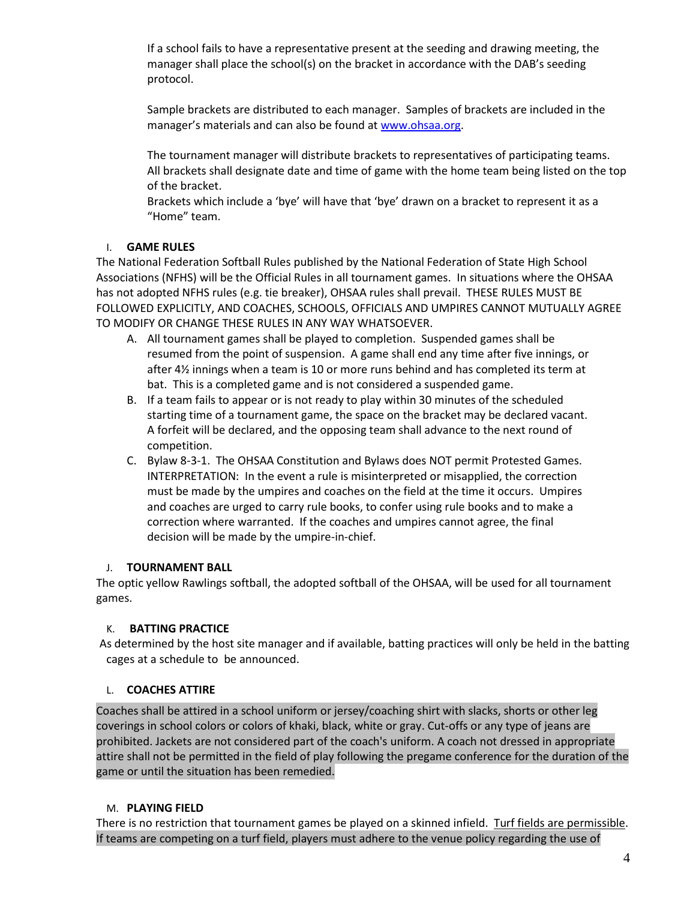If a school fails to have a representative present at the seeding and drawing meeting, the manager shall place the school(s) on the bracket in accordance with the DAB's seeding protocol.

Sample brackets are distributed to each manager. Samples of brackets are included in the manager's materials and can also be found at [www.ohsaa.org.](http://www.ohsaa.org/)

The tournament manager will distribute brackets to representatives of participating teams. All brackets shall designate date and time of game with the home team being listed on the top of the bracket.

Brackets which include a 'bye' will have that 'bye' drawn on a bracket to represent it as a "Home" team.

## I. **GAME RULES**

The National Federation Softball Rules published by the National Federation of State High School Associations (NFHS) will be the Official Rules in all tournament games. In situations where the OHSAA has not adopted NFHS rules (e.g. tie breaker), OHSAA rules shall prevail. THESE RULES MUST BE FOLLOWED EXPLICITLY, AND COACHES, SCHOOLS, OFFICIALS AND UMPIRES CANNOT MUTUALLY AGREE TO MODIFY OR CHANGE THESE RULES IN ANY WAY WHATSOEVER.

- A. All tournament games shall be played to completion. Suspended games shall be resumed from the point of suspension. A game shall end any time after five innings, or after 4½ innings when a team is 10 or more runs behind and has completed its term at bat. This is a completed game and is not considered a suspended game.
- B. If a team fails to appear or is not ready to play within 30 minutes of the scheduled starting time of a tournament game, the space on the bracket may be declared vacant. A forfeit will be declared, and the opposing team shall advance to the next round of competition.
- C. Bylaw 8-3-1. The OHSAA Constitution and Bylaws does NOT permit Protested Games. INTERPRETATION: In the event a rule is misinterpreted or misapplied, the correction must be made by the umpires and coaches on the field at the time it occurs. Umpires and coaches are urged to carry rule books, to confer using rule books and to make a correction where warranted. If the coaches and umpires cannot agree, the final decision will be made by the umpire-in-chief.

## J. **TOURNAMENT BALL**

The optic yellow Rawlings softball, the adopted softball of the OHSAA, will be used for all tournament games.

## K. **BATTING PRACTICE**

 As determined by the host site manager and if available, batting practices will only be held in the batting cages at a schedule to be announced.

#### L. **COACHES ATTIRE**

Coaches shall be attired in a school uniform or jersey/coaching shirt with slacks, shorts or other leg coverings in school colors or colors of khaki, black, white or gray. Cut-offs or any type of jeans are prohibited. Jackets are not considered part of the coach's uniform. A coach not dressed in appropriate attire shall not be permitted in the field of play following the pregame conference for the duration of the game or until the situation has been remedied.

## M. **PLAYING FIELD**

There is no restriction that tournament games be played on a skinned infield. Turf fields are permissible. If teams are competing on a turf field, players must adhere to the venue policy regarding the use of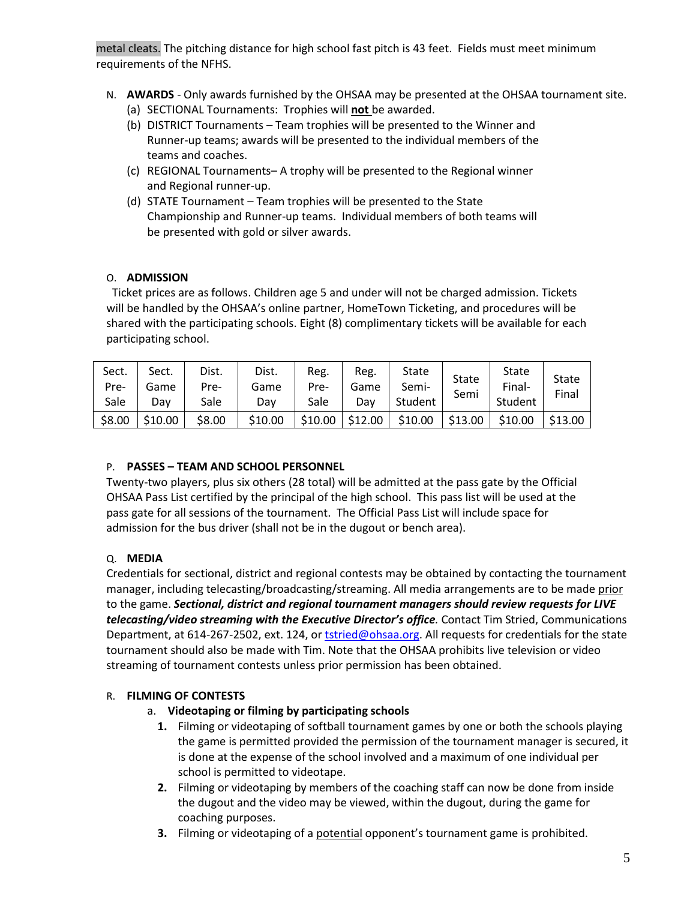metal cleats. The pitching distance for high school fast pitch is 43 feet. Fields must meet minimum requirements of the NFHS.

- N. **AWARDS** Only awards furnished by the OHSAA may be presented at the OHSAA tournament site. (a) SECTIONAL Tournaments: Trophies will **not** be awarded.
	- (b) DISTRICT Tournaments Team trophies will be presented to the Winner and Runner-up teams; awards will be presented to the individual members of the teams and coaches.
	- (c) REGIONAL Tournaments– A trophy will be presented to the Regional winner and Regional runner-up.
	- (d) STATE Tournament Team trophies will be presented to the State Championship and Runner-up teams. Individual members of both teams will be presented with gold or silver awards.

## O. **ADMISSION**

 Ticket prices are as follows. Children age 5 and under will not be charged admission. Tickets will be handled by the OHSAA's online partner, HomeTown Ticketing, and procedures will be shared with the participating schools. Eight (8) complimentary tickets will be available for each participating school.

| Sect.<br>Pre- | Sect.<br>Game | Dist.<br>Pre- | Dist.<br>Game | Reg.<br>Pre- | Reg.<br>Game | State<br>Semi- | State<br>Semi | State<br>Final- | <b>State</b><br>Final |
|---------------|---------------|---------------|---------------|--------------|--------------|----------------|---------------|-----------------|-----------------------|
| Sale          | Dav           | Sale          | Dav           | Sale         | Dav          | Student        |               | Student         |                       |
| \$8.00        | \$10.00       | \$8.00        | \$10.00       | \$10.00      | \$12.00      | \$10.00        | \$13.00       | \$10.00         | \$13.00               |

## P. **PASSES – TEAM AND SCHOOL PERSONNEL**

Twenty-two players, plus six others (28 total) will be admitted at the pass gate by the Official OHSAA Pass List certified by the principal of the high school. This pass list will be used at the pass gate for all sessions of the tournament. The Official Pass List will include space for admission for the bus driver (shall not be in the dugout or bench area).

# Q. **MEDIA**

Credentials for sectional, district and regional contests may be obtained by contacting the tournament manager, including telecasting/broadcasting/streaming. All media arrangements are to be made prior to the game. *Sectional, district and regional tournament managers should review requests for LIVE telecasting/video streaming with the Executive Director's office.* Contact Tim Stried, Communications Department, at 614-267-2502, ext. 124, or [tstried@ohsaa.org.](mailto:tstried@ohsaa.org) All requests for credentials for the state tournament should also be made with Tim. Note that the OHSAA prohibits live television or video streaming of tournament contests unless prior permission has been obtained.

## R. **FILMING OF CONTESTS**

## a. **Videotaping or filming by participating schools**

- **1.** Filming or videotaping of softball tournament games by one or both the schools playing the game is permitted provided the permission of the tournament manager is secured, it is done at the expense of the school involved and a maximum of one individual per school is permitted to videotape.
- **2.** Filming or videotaping by members of the coaching staff can now be done from inside the dugout and the video may be viewed, within the dugout, during the game for coaching purposes.
- **3.** Filming or videotaping of a potential opponent's tournament game is prohibited.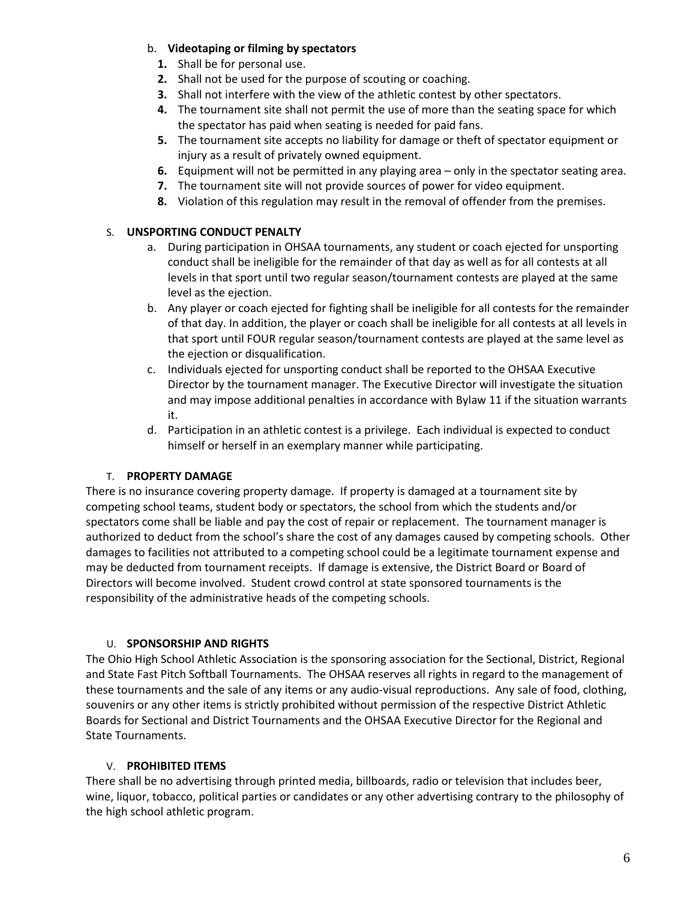## b. **Videotaping or filming by spectators**

- **1.** Shall be for personal use.
- **2.** Shall not be used for the purpose of scouting or coaching.
- **3.** Shall not interfere with the view of the athletic contest by other spectators.
- **4.** The tournament site shall not permit the use of more than the seating space for which the spectator has paid when seating is needed for paid fans.
- **5.** The tournament site accepts no liability for damage or theft of spectator equipment or injury as a result of privately owned equipment.
- **6.** Equipment will not be permitted in any playing area only in the spectator seating area.
- **7.** The tournament site will not provide sources of power for video equipment.
- **8.** Violation of this regulation may result in the removal of offender from the premises.

## S. **UNSPORTING CONDUCT PENALTY**

- a. During participation in OHSAA tournaments, any student or coach ejected for unsporting conduct shall be ineligible for the remainder of that day as well as for all contests at all levels in that sport until two regular season/tournament contests are played at the same level as the ejection.
- b. Any player or coach ejected for fighting shall be ineligible for all contests for the remainder of that day. In addition, the player or coach shall be ineligible for all contests at all levels in that sport until FOUR regular season/tournament contests are played at the same level as the ejection or disqualification.
- c. Individuals ejected for unsporting conduct shall be reported to the OHSAA Executive Director by the tournament manager. The Executive Director will investigate the situation and may impose additional penalties in accordance with Bylaw 11 if the situation warrants it.
- d. Participation in an athletic contest is a privilege. Each individual is expected to conduct himself or herself in an exemplary manner while participating.

## T. **PROPERTY DAMAGE**

There is no insurance covering property damage. If property is damaged at a tournament site by competing school teams, student body or spectators, the school from which the students and/or spectators come shall be liable and pay the cost of repair or replacement. The tournament manager is authorized to deduct from the school's share the cost of any damages caused by competing schools. Other damages to facilities not attributed to a competing school could be a legitimate tournament expense and may be deducted from tournament receipts. If damage is extensive, the District Board or Board of Directors will become involved. Student crowd control at state sponsored tournaments is the responsibility of the administrative heads of the competing schools.

#### U. **SPONSORSHIP AND RIGHTS**

The Ohio High School Athletic Association is the sponsoring association for the Sectional, District, Regional and State Fast Pitch Softball Tournaments. The OHSAA reserves all rights in regard to the management of these tournaments and the sale of any items or any audio-visual reproductions. Any sale of food, clothing, souvenirs or any other items is strictly prohibited without permission of the respective District Athletic Boards for Sectional and District Tournaments and the OHSAA Executive Director for the Regional and State Tournaments.

#### V. **PROHIBITED ITEMS**

There shall be no advertising through printed media, billboards, radio or television that includes beer, wine, liquor, tobacco, political parties or candidates or any other advertising contrary to the philosophy of the high school athletic program.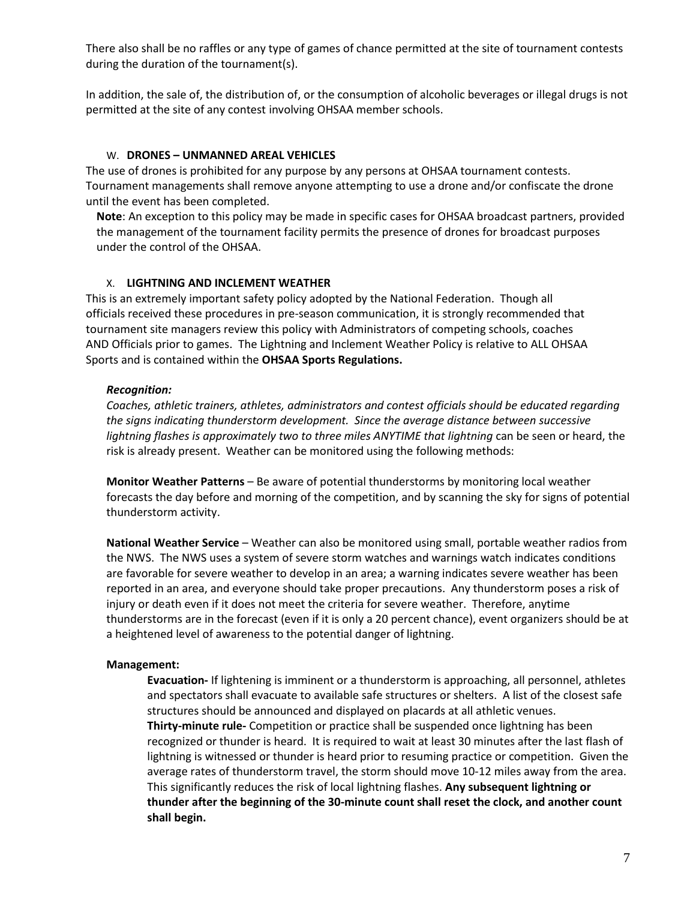There also shall be no raffles or any type of games of chance permitted at the site of tournament contests during the duration of the tournament(s).

In addition, the sale of, the distribution of, or the consumption of alcoholic beverages or illegal drugs is not permitted at the site of any contest involving OHSAA member schools.

#### W. **DRONES – UNMANNED AREAL VEHICLES**

The use of drones is prohibited for any purpose by any persons at OHSAA tournament contests. Tournament managements shall remove anyone attempting to use a drone and/or confiscate the drone until the event has been completed.

**Note**: An exception to this policy may be made in specific cases for OHSAA broadcast partners, provided the management of the tournament facility permits the presence of drones for broadcast purposes under the control of the OHSAA.

#### X. **LIGHTNING AND INCLEMENT WEATHER**

This is an extremely important safety policy adopted by the National Federation. Though all officials received these procedures in pre-season communication, it is strongly recommended that tournament site managers review this policy with Administrators of competing schools, coaches AND Officials prior to games. The Lightning and Inclement Weather Policy is relative to ALL OHSAA Sports and is contained within the **OHSAA Sports Regulations.**

#### *Recognition:*

*Coaches, athletic trainers, athletes, administrators and contest officials should be educated regarding the signs indicating thunderstorm development. Since the average distance between successive lightning flashes is approximately two to three miles ANYTIME that lightning* can be seen or heard, the risk is already present. Weather can be monitored using the following methods:

**Monitor Weather Patterns** – Be aware of potential thunderstorms by monitoring local weather forecasts the day before and morning of the competition, and by scanning the sky for signs of potential thunderstorm activity.

**National Weather Service** – Weather can also be monitored using small, portable weather radios from the NWS. The NWS uses a system of severe storm watches and warnings watch indicates conditions are favorable for severe weather to develop in an area; a warning indicates severe weather has been reported in an area, and everyone should take proper precautions. Any thunderstorm poses a risk of injury or death even if it does not meet the criteria for severe weather. Therefore, anytime thunderstorms are in the forecast (even if it is only a 20 percent chance), event organizers should be at a heightened level of awareness to the potential danger of lightning.

#### **Management:**

**Evacuation-** If lightening is imminent or a thunderstorm is approaching, all personnel, athletes and spectators shall evacuate to available safe structures or shelters. A list of the closest safe structures should be announced and displayed on placards at all athletic venues. **Thirty-minute rule-** Competition or practice shall be suspended once lightning has been recognized or thunder is heard. It is required to wait at least 30 minutes after the last flash of lightning is witnessed or thunder is heard prior to resuming practice or competition. Given the average rates of thunderstorm travel, the storm should move 10-12 miles away from the area. This significantly reduces the risk of local lightning flashes. **Any subsequent lightning or thunder after the beginning of the 30-minute count shall reset the clock, and another count shall begin.**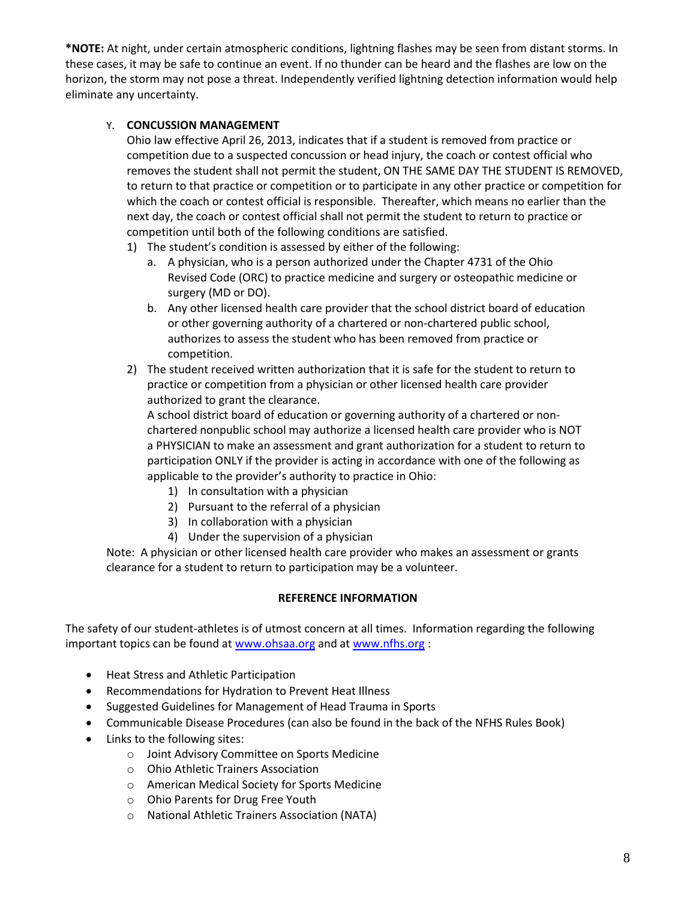**\*NOTE:** At night, under certain atmospheric conditions, lightning flashes may be seen from distant storms. In these cases, it may be safe to continue an event. If no thunder can be heard and the flashes are low on the horizon, the storm may not pose a threat. Independently verified lightning detection information would help eliminate any uncertainty.

# Y. **CONCUSSION MANAGEMENT**

Ohio law effective April 26, 2013, indicates that if a student is removed from practice or competition due to a suspected concussion or head injury, the coach or contest official who removes the student shall not permit the student, ON THE SAME DAY THE STUDENT IS REMOVED, to return to that practice or competition or to participate in any other practice or competition for which the coach or contest official is responsible. Thereafter, which means no earlier than the next day, the coach or contest official shall not permit the student to return to practice or competition until both of the following conditions are satisfied.

- 1) The student's condition is assessed by either of the following:
	- a. A physician, who is a person authorized under the Chapter 4731 of the Ohio Revised Code (ORC) to practice medicine and surgery or osteopathic medicine or surgery (MD or DO).
	- b. Any other licensed health care provider that the school district board of education or other governing authority of a chartered or non-chartered public school, authorizes to assess the student who has been removed from practice or competition.
- 2) The student received written authorization that it is safe for the student to return to practice or competition from a physician or other licensed health care provider authorized to grant the clearance.

A school district board of education or governing authority of a chartered or nonchartered nonpublic school may authorize a licensed health care provider who is NOT a PHYSICIAN to make an assessment and grant authorization for a student to return to participation ONLY if the provider is acting in accordance with one of the following as applicable to the provider's authority to practice in Ohio:

- 1) In consultation with a physician
- 2) Pursuant to the referral of a physician
- 3) In collaboration with a physician
- 4) Under the supervision of a physician

Note: A physician or other licensed health care provider who makes an assessment or grants clearance for a student to return to participation may be a volunteer.

## **REFERENCE INFORMATION**

The safety of our student-athletes is of utmost concern at all times. Information regarding the following important topics can be found at [www.ohsaa.org](http://www.ohsaa.org/) and a[t www.nfhs.org](http://www.nfhs.org/) :

- Heat Stress and Athletic Participation
- Recommendations for Hydration to Prevent Heat Illness
- Suggested Guidelines for Management of Head Trauma in Sports
- Communicable Disease Procedures (can also be found in the back of the NFHS Rules Book)
- Links to the following sites:
	- o Joint Advisory Committee on Sports Medicine
	- o Ohio Athletic Trainers Association
	- o American Medical Society for Sports Medicine
	- o Ohio Parents for Drug Free Youth
	- o National Athletic Trainers Association (NATA)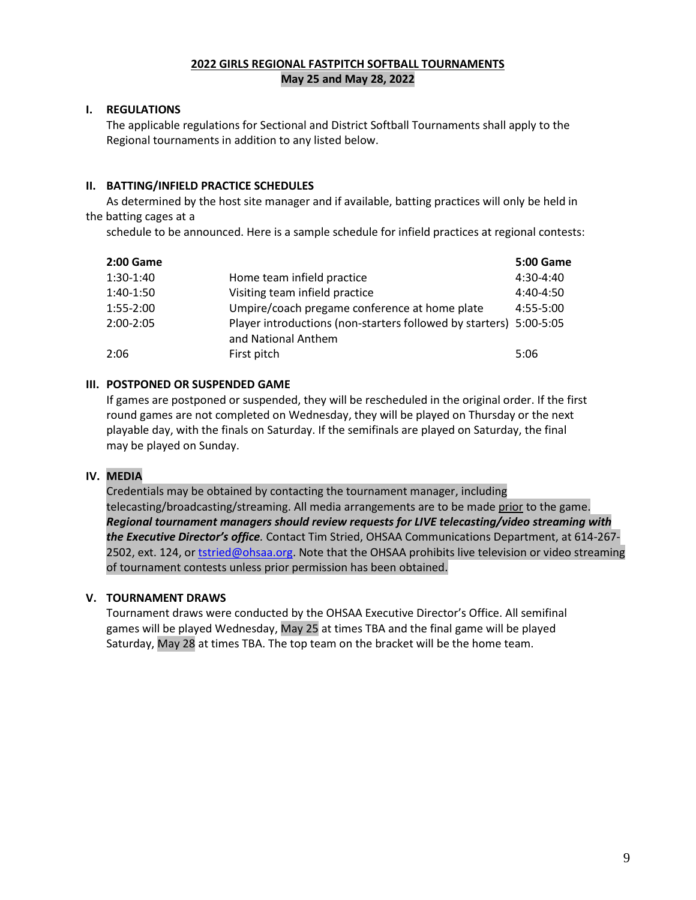#### **2022 GIRLS REGIONAL FASTPITCH SOFTBALL TOURNAMENTS May 25 and May 28, 2022**

### **I. REGULATIONS**

The applicable regulations for Sectional and District Softball Tournaments shall apply to the Regional tournaments in addition to any listed below.

### **II. BATTING/INFIELD PRACTICE SCHEDULES**

As determined by the host site manager and if available, batting practices will only be held in the batting cages at a

schedule to be announced. Here is a sample schedule for infield practices at regional contests:

| <b>2:00 Game</b> |                                                                                           | <b>5:00 Game</b> |
|------------------|-------------------------------------------------------------------------------------------|------------------|
| 1:30-1:40        | Home team infield practice                                                                | $4:30-4:40$      |
| 1:40-1:50        | Visiting team infield practice                                                            | $4:40-4:50$      |
| 1:55-2:00        | Umpire/coach pregame conference at home plate                                             | 4:55-5:00        |
| 2:00-2:05        | Player introductions (non-starters followed by starters) 5:00-5:05<br>and National Anthem |                  |
| 2:06             | First pitch                                                                               | 5:06             |

### **III. POSTPONED OR SUSPENDED GAME**

If games are postponed or suspended, they will be rescheduled in the original order. If the first round games are not completed on Wednesday, they will be played on Thursday or the next playable day, with the finals on Saturday. If the semifinals are played on Saturday, the final may be played on Sunday.

#### **IV. MEDIA**

Credentials may be obtained by contacting the tournament manager, including telecasting/broadcasting/streaming. All media arrangements are to be made prior to the game. *Regional tournament managers should review requests for LIVE telecasting/video streaming with the Executive Director's office.* Contact Tim Stried, OHSAA Communications Department, at 614-267 2502, ext. 124, o[r tstried@ohsaa.org.](mailto:tstried@ohsaa.org) Note that the OHSAA prohibits live television or video streaming of tournament contests unless prior permission has been obtained.

#### **V. TOURNAMENT DRAWS**

Tournament draws were conducted by the OHSAA Executive Director's Office. All semifinal games will be played Wednesday, May 25 at times TBA and the final game will be played Saturday, May 28 at times TBA. The top team on the bracket will be the home team.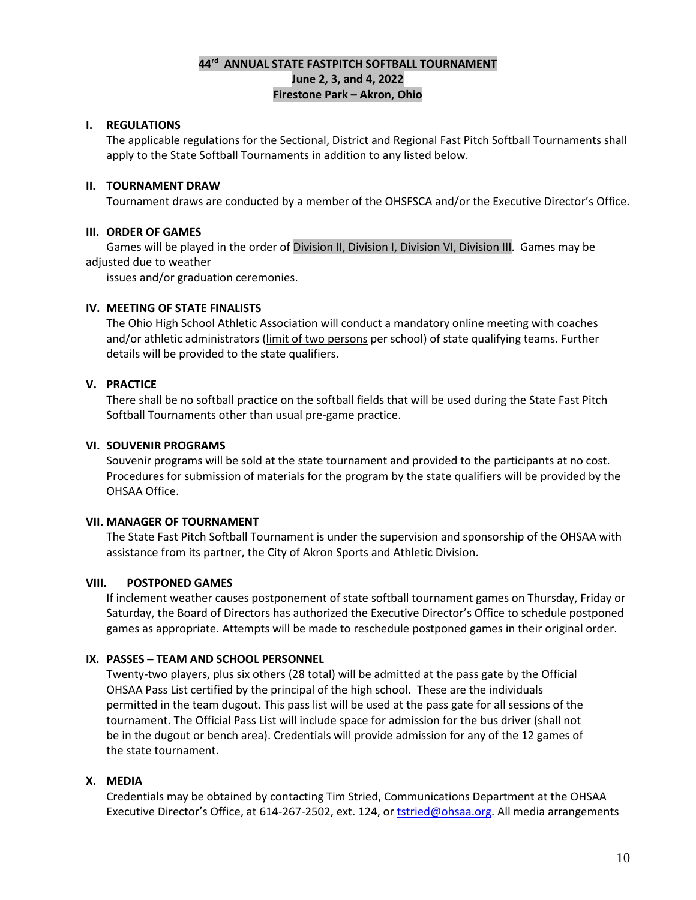## **44 rd ANNUAL STATE FASTPITCH SOFTBALL TOURNAMENT June 2, 3, and 4, 2022 Firestone Park – Akron, Ohio**

## **I. REGULATIONS**

The applicable regulations for the Sectional, District and Regional Fast Pitch Softball Tournaments shall apply to the State Softball Tournaments in addition to any listed below.

#### **II. TOURNAMENT DRAW**

Tournament draws are conducted by a member of the OHSFSCA and/or the Executive Director's Office.

### **III. ORDER OF GAMES**

Games will be played in the order of Division II, Division I, Division VI, Division III. Games may be adjusted due to weather

issues and/or graduation ceremonies.

#### **IV. MEETING OF STATE FINALISTS**

The Ohio High School Athletic Association will conduct a mandatory online meeting with coaches and/or athletic administrators (limit of two persons per school) of state qualifying teams. Further details will be provided to the state qualifiers.

### **V. PRACTICE**

There shall be no softball practice on the softball fields that will be used during the State Fast Pitch Softball Tournaments other than usual pre-game practice.

### **VI. SOUVENIR PROGRAMS**

Souvenir programs will be sold at the state tournament and provided to the participants at no cost. Procedures for submission of materials for the program by the state qualifiers will be provided by the OHSAA Office.

#### **VII. MANAGER OF TOURNAMENT**

The State Fast Pitch Softball Tournament is under the supervision and sponsorship of the OHSAA with assistance from its partner, the City of Akron Sports and Athletic Division.

#### **VIII. POSTPONED GAMES**

If inclement weather causes postponement of state softball tournament games on Thursday, Friday or Saturday, the Board of Directors has authorized the Executive Director's Office to schedule postponed games as appropriate. Attempts will be made to reschedule postponed games in their original order.

#### **IX. PASSES – TEAM AND SCHOOL PERSONNEL**

Twenty-two players, plus six others (28 total) will be admitted at the pass gate by the Official OHSAA Pass List certified by the principal of the high school. These are the individuals permitted in the team dugout. This pass list will be used at the pass gate for all sessions of the tournament. The Official Pass List will include space for admission for the bus driver (shall not be in the dugout or bench area). Credentials will provide admission for any of the 12 games of the state tournament.

## **X. MEDIA**

Credentials may be obtained by contacting Tim Stried, Communications Department at the OHSAA Executive Director's Office, at 614-267-2502, ext. 124, or [tstried@ohsaa.org.](mailto:tstried@ohsaa.org) All media arrangements